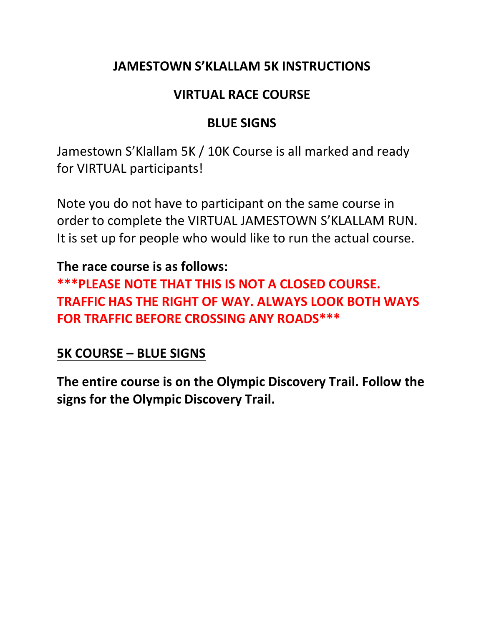# **JAMESTOWN S'KLALLAM 5K INSTRUCTIONS**

#### **VIRTUAL RACE COURSE**

# **BLUE SIGNS**

Jamestown S'Klallam 5K / 10K Course is all marked and ready for VIRTUAL participants!

Note you do not have to participant on the same course in order to complete the VIRTUAL JAMESTOWN S'KLALLAM RUN. It is set up for people who would like to run the actual course.

### **The race course is as follows:**

**\*\*\*PLEASE NOTE THAT THIS IS NOT A CLOSED COURSE. TRAFFIC HAS THE RIGHT OF WAY. ALWAYS LOOK BOTH WAYS FOR TRAFFIC BEFORE CROSSING ANY ROADS\*\*\***

### **5K COURSE – BLUE SIGNS**

**The entire course is on the Olympic Discovery Trail. Follow the signs for the Olympic Discovery Trail.**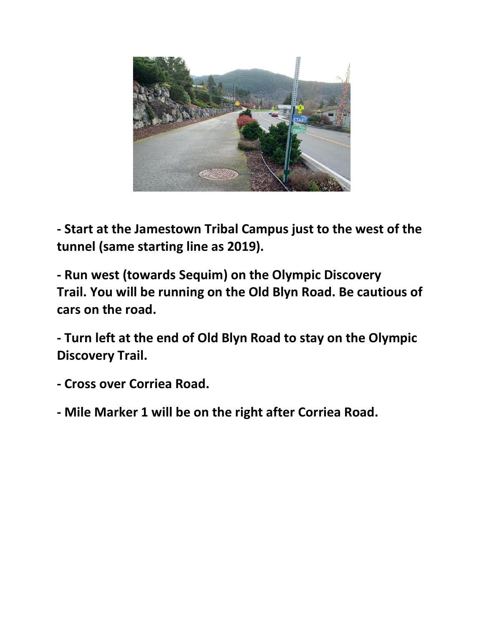

**- Start at the Jamestown Tribal Campus just to the west of the tunnel (same starting line as 2019).**

**- Run west (towards Sequim) on the Olympic Discovery Trail. You will be running on the Old Blyn Road. Be cautious of cars on the road.** 

**- Turn left at the end of Old Blyn Road to stay on the Olympic Discovery Trail.** 

- **- Cross over Corriea Road.**
- **- Mile Marker 1 will be on the right after Corriea Road.**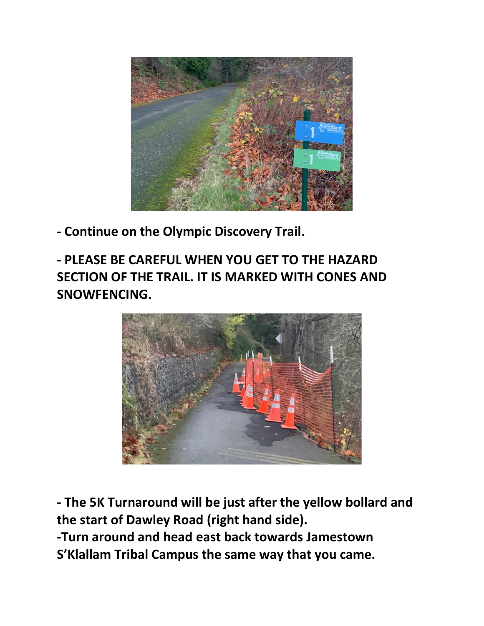

**- Continue on the Olympic Discovery Trail.** 

**- PLEASE BE CAREFUL WHEN YOU GET TO THE HAZARD SECTION OF THE TRAIL. IT IS MARKED WITH CONES AND SNOWFENCING.** 



**- The 5K Turnaround will be just after the yellow bollard and the start of Dawley Road (right hand side). -Turn around and head east back towards Jamestown S'Klallam Tribal Campus the same way that you came.**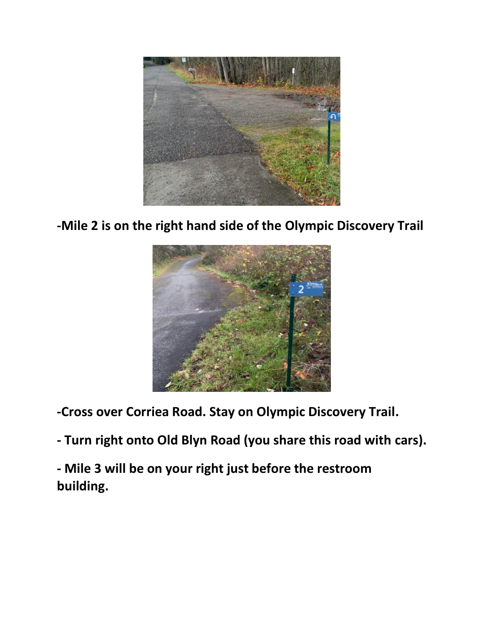

**-Mile 2 is on the right hand side of the Olympic Discovery Trail**



**-Cross over Corriea Road. Stay on Olympic Discovery Trail.** 

- **- Turn right onto Old Blyn Road (you share this road with cars).**
- **- Mile 3 will be on your right just before the restroom building.**